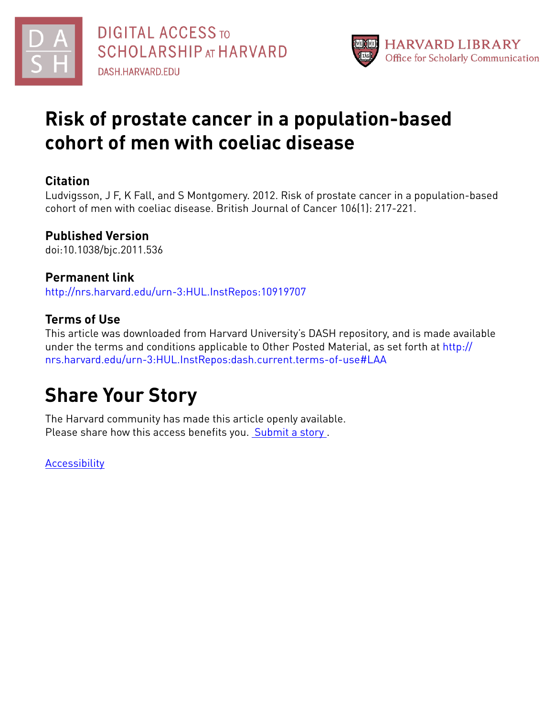



# **Risk of prostate cancer in a population-based cohort of men with coeliac disease**

## **Citation**

Ludvigsson, J F, K Fall, and S Montgomery. 2012. Risk of prostate cancer in a population-based cohort of men with coeliac disease. British Journal of Cancer 106(1): 217-221.

## **Published Version**

doi:10.1038/bjc.2011.536

## **Permanent link**

<http://nrs.harvard.edu/urn-3:HUL.InstRepos:10919707>

## **Terms of Use**

This article was downloaded from Harvard University's DASH repository, and is made available under the terms and conditions applicable to Other Posted Material, as set forth at [http://](http://nrs.harvard.edu/urn-3:HUL.InstRepos:dash.current.terms-of-use#LAA) [nrs.harvard.edu/urn-3:HUL.InstRepos:dash.current.terms-of-use#LAA](http://nrs.harvard.edu/urn-3:HUL.InstRepos:dash.current.terms-of-use#LAA)

# **Share Your Story**

The Harvard community has made this article openly available. Please share how this access benefits you. [Submit](http://osc.hul.harvard.edu/dash/open-access-feedback?handle=&title=Risk%20of%20prostate%20cancer%20in%20a%20population-based%20cohort%20of%20men%20with%20coeliac%20disease&community=1/4454687&collection=1/4454688&owningCollection1/4454688&harvardAuthors=0c2cab425b959908552e4a0924ae975d&department) a story.

**[Accessibility](https://dash.harvard.edu/pages/accessibility)**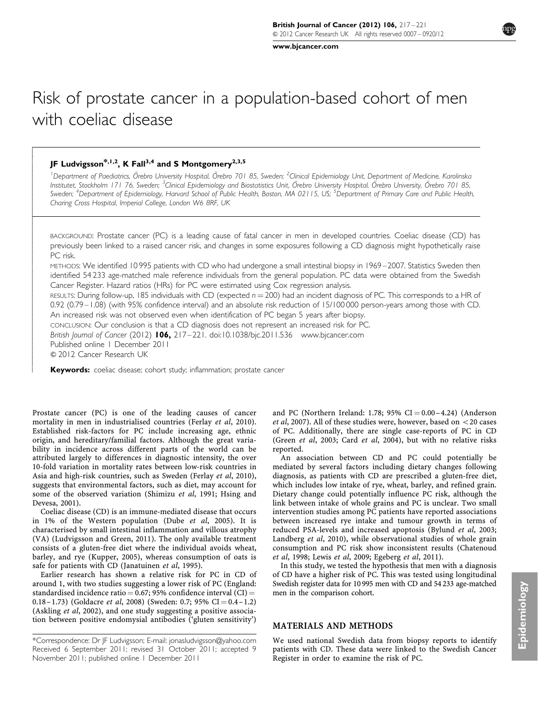[www.bjcancer.com](http://www.bjcancer.com)

## Risk of prostate cancer in a population-based cohort of men with coeliac disease

### JF Ludvigsson<sup>\*,1,2</sup>, K Fall<sup>3,4</sup> and S Montgomery<sup>2,3,5</sup>

- $\overline{\phantom{a}}$  $\overline{\phantom{a}}$  $\overline{\phantom{a}}$  $\overline{\phantom{a}}$  $\overline{\phantom{a}}$  $\overline{\phantom{a}}$  $\overline{\phantom{a}}$  $\overline{\phantom{a}}$  $\overline{\phantom{a}}$  $\overline{\phantom{a}}$  $\overline{\phantom{a}}$  $\overline{\phantom{a}}$  $\overline{\phantom{a}}$ - $\mathsf{r}$  $\overline{\phantom{a}}$  $\overline{\phantom{a}}$  $\overline{\phantom{a}}$  $\overline{\phantom{a}}$  $\overline{\phantom{a}}$  $\overline{\phantom{a}}$  $\overline{\phantom{a}}$  $\overline{\phantom{a}}$  $\overline{\phantom{a}}$  $\overline{\phantom{a}}$  $\overline{\phantom{a}}$  $\overline{\phantom{a}}$  $\overline{\phantom{a}}$  $\overline{\phantom{a}}$  $\overline{\phantom{a}}$  $\overline{\phantom{a}}$  $\overline{\phantom{a}}$  $\overline{\phantom{a}}$  $\overline{\phantom{a}}$  $\overline{\phantom{a}}$  $\overline{\phantom{a}}$  $\overline{\phantom{a}}$  $\overline{\phantom{a}}$  $\overline{\phantom{a}}$  $\overline{\phantom{a}}$  $\overline{\phantom{a}}$  $\overline{\phantom{a}}$  $\overline{\phantom{a}}$  $\overline{\phantom{a}}$  $\overline{\phantom{a}}$  $\overline{\phantom{a}}$ 

<sup>1</sup>Department of Paediatrics, Örebro University Hospital, Örebro 701 85, Sweden; <sup>2</sup>Clinical Epidemiology Unit, Department of Medicine, Karolinska Institutet, Stockholm 171 76, Sweden; <sup>3</sup>Clinical Epidemiology and Biostatistics Unit, Örebro University Hospital, Örebro University, Örebro 701 85, Sweden; <sup>4</sup>Department of Epidemiology, Harvard School of Public Health, Boston, MA 02115, US; <sup>5</sup>Department of Primary Care and Public Health, Charing Cross Hospital, Imperial College, London W6 8RF, UK

BACKGROUND: Prostate cancer (PC) is a leading cause of fatal cancer in men in developed countries. Coeliac disease (CD) has previously been linked to a raised cancer risk, and changes in some exposures following a CD diagnosis might hypothetically raise PC risk.

METHODS: We identified 10 995 patients with CD who had undergone a small intestinal biopsy in 1969 – 2007. Statistics Sweden then identified 54 233 age-matched male reference individuals from the general population. PC data were obtained from the Swedish Cancer Register. Hazard ratios (HRs) for PC were estimated using Cox regression analysis.

RESULTS: During follow-up, 185 individuals with CD (expected  $n = 200$ ) had an incident diagnosis of PC. This corresponds to a HR of 0.92 (0.79 – 1.08) (with 95% confidence interval) and an absolute risk reduction of 15/100 000 person-years among those with CD. An increased risk was not observed even when identification of PC began 5 years after biopsy.

CONCLUSION: Our conclusion is that a CD diagnosis does not represent an increased risk for PC.

British Journal of Cancer (2012) 106, 217-221. doi[:10.1038/bjc.2011.536](http://dx.doi.org/10.1038/bjc.2011.536) [www.bjcancer.com](http://www.bjcancer.com) Published online 1 December 2011 & 2012 Cancer Research UK

Keywords: coeliac disease; cohort study; inflammation; prostate cancer

Prostate cancer (PC) is one of the leading causes of cancer mortality in men in industrialised countries (Ferlay et al[, 2010\)](#page-5-0). Established risk-factors for PC include increasing age, ethnic origin, and hereditary/familial factors. Although the great variability in incidence across different parts of the world can be attributed largely to differences in diagnostic intensity, the over 10-fold variation in mortality rates between low-risk countries in Asia and high-risk countries, such as Sweden (Ferlay et al[, 2010\)](#page-5-0), suggests that environmental factors, such as diet, may account for some of the observed variation [\(Shimizu](#page-5-0) et al, 1991; [Hsing and](#page-5-0) [Devesa, 2001](#page-5-0)).

Coeliac disease (CD) is an immune-mediated disease that occurs in 1% of the Western population (Dube et al[, 2005\)](#page-5-0). It is characterised by small intestinal inflammation and villous atrophy (VA) ([Ludvigsson and Green, 2011\)](#page-5-0). The only available treatment consists of a gluten-free diet where the individual avoids wheat, barley, and rye [\(Kupper, 2005](#page-5-0)), whereas consumption of oats is safe for patients with CD ([Janatuinen](#page-5-0) et al, 1995).

Earlier research has shown a relative risk for PC in CD of around 1, with two studies suggesting a lower risk of PC (England: standardised incidence ratio =  $0.67$ ; 95% confidence interval (CI) = 0.18 – 1.73) ([Goldacre](#page-5-0) et al, 2008) (Sweden: 0.7; 95% CI = 0.4 – 1.2) [\(Askling](#page-4-0) et al, 2002), and one study suggesting a positive association between positive endomysial antibodies ('gluten sensitivity')

and PC (Northern Ireland: 1.78;  $95\%$  CI = 0.00 – 4.24) ([Anderson](#page-4-0) et al[, 2007](#page-4-0)). All of these studies were, however, based on  $<$  20 cases of PC. Additionally, there are single case-reports of PC in CD (Green et al[, 2003](#page-5-0); Card et al[, 2004](#page-4-0)), but with no relative risks reported.

An association between CD and PC could potentially be mediated by several factors including dietary changes following diagnosis, as patients with CD are prescribed a gluten-free diet, which includes low intake of rye, wheat, barley, and refined grain. Dietary change could potentially influence PC risk, although the link between intake of whole grains and PC is unclear. Two small intervention studies among PC patients have reported associations between increased rye intake and tumour growth in terms of reduced PSA-levels and increased apoptosis [\(Bylund](#page-4-0) et al, 2003; [Landberg](#page-5-0) et al, 2010), while observational studies of whole grain consumption and PC risk show inconsistent results [\(Chatenoud](#page-4-0) et al[, 1998;](#page-4-0) Lewis et al[, 2009; Egeberg](#page-5-0) et al, 2011).

In this study, we tested the hypothesis that men with a diagnosis of CD have a higher risk of PC. This was tested using longitudinal Swedish register data for 10 995 men with CD and 54 233 age-matched men in the comparison cohort.

#### MATERIALS AND METHODS

We used national Swedish data from biopsy reports to identify patients with CD. These data were linked to the Swedish Cancer Register in order to examine the risk of PC.

Received 6 September 2011; revised 31 October 2011; accepted 9 November 2011; published online 1 December 2011 \*Correspondence: Dr JF Ludvigsson; E-mail: [jonasludvigsson@yahoo.com](mailto:jonasludvigsson@yahoo.com)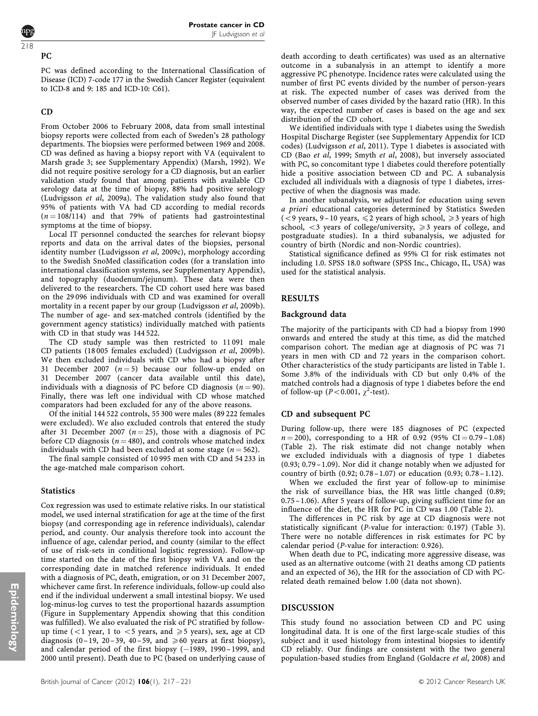### 218

#### PC

PC was defined according to the International Classification of Disease (ICD) 7-code 177 in the Swedish Cancer Register (equivalent to ICD-8 and 9: 185 and ICD-10: C61).

#### CD

From October 2006 to February 2008, data from small intestinal biopsy reports were collected from each of Sweden's 28 pathology departments. The biopsies were performed between 1969 and 2008. CD was defined as having a biopsy report with VA (equivalent to Marsh grade 3; see Supplementary Appendix) [\(Marsh, 1992](#page-5-0)). We did not require positive serology for a CD diagnosis, but an earlier validation study found that among patients with available CD serology data at the time of biopsy, 88% had positive serology ([Ludvigsson](#page-5-0) et al, 2009a). The validation study also found that 95% of patients with VA had CD according to medial records  $(n = 108/114)$  and that 79% of patients had gastrointestinal symptoms at the time of biopsy.

Local IT personnel conducted the searches for relevant biopsy reports and data on the arrival dates of the biopsies, personal identity number [\(Ludvigsson](#page-5-0) et al, 2009c), morphology according to the Swedish SnoMed classification codes (for a translation into international classification systems, see Supplementary Appendix), and topography (duodenum/jejunum). These data were then delivered to the researchers. The CD cohort used here was based on the 29 096 individuals with CD and was examined for overall mortality in a recent paper by our group ([Ludvigsson](#page-5-0) et al, 2009b). The number of age- and sex-matched controls (identified by the government agency statistics) individually matched with patients with CD in that study was 144 522.

The CD study sample was then restricted to 11 091 male CD patients (18 005 females excluded) ([Ludvigsson](#page-5-0) et al, 2009b). We then excluded individuals with CD who had a biopsy after 31 December 2007 ( $n = 5$ ) because our follow-up ended on 31 December 2007 (cancer data available until this date), individuals with a diagnosis of PC before CD diagnosis  $(n = 90)$ . Finally, there was left one individual with CD whose matched comparators had been excluded for any of the above reasons.

Of the initial 144 522 controls, 55 300 were males (89 222 females were excluded). We also excluded controls that entered the study after 31 December 2007 ( $n = 25$ ), those with a diagnosis of PC before CD diagnosis ( $n = 480$ ), and controls whose matched index individuals with CD had been excluded at some stage ( $n = 562$ ).

The final sample consisted of 10 995 men with CD and 54 233 in the age-matched male comparison cohort.

#### **Statistics**

Cox regression was used to estimate relative risks. In our statistical model, we used internal stratification for age at the time of the first biopsy (and corresponding age in reference individuals), calendar period, and county. Our analysis therefore took into account the influence of age, calendar period, and county (similar to the effect of use of risk-sets in conditional logistic regression). Follow-up time started on the date of the first biopsy with VA and on the corresponding date in matched reference individuals. It ended with a diagnosis of PC, death, emigration, or on 31 December 2007, whichever came first. In reference individuals, follow-up could also end if the individual underwent a small intestinal biopsy. We used log-minus-log curves to test the proportional hazards assumption (Figure in Supplementary Appendix showing that this condition was fulfilled). We also evaluated the risk of PC stratified by followup time ( $\lt 1$  year, 1 to  $\lt 5$  years, and  $\ge 5$  years), sex, age at CD diagnosis (0-19, 20-39, 40-59, and  $\geq 60$  years at first biopsy), and calendar period of the first biopsy (-1989, 1990-1999, and 2000 until present). Death due to PC (based on underlying cause of death according to death certificates) was used as an alternative outcome in a subanalysis in an attempt to identify a more aggressive PC phenotype. Incidence rates were calculated using the number of first PC events divided by the number of person-years at risk. The expected number of cases was derived from the observed number of cases divided by the hazard ratio (HR). In this way, the expected number of cases is based on the age and sex distribution of the CD cohort.

We identified individuals with type 1 diabetes using the Swedish Hospital Discharge Register (see Supplementary Appendix for ICD codes) [\(Ludvigsson](#page-5-0) et al, 2011). Type 1 diabetes is associated with CD (Bao et al[, 1999](#page-4-0); [Smyth](#page-5-0) et al, 2008), but inversely associated with PC, so concomitant type 1 diabetes could therefore potentially hide a positive association between CD and PC. A subanalysis excluded all individuals with a diagnosis of type 1 diabetes, irrespective of when the diagnosis was made.

In another subanalysis, we adjusted for education using seven a priori educational categories determined by Statistics Sweden (<9 years, 9-10 years,  $\leq$  2 years of high school,  $\geq$  3 years of high school,  $<$ 3 years of college/university,  $\geq$ 3 years of college, and postgraduate studies). In a third subanalysis, we adjusted for country of birth (Nordic and non-Nordic countries).

Statistical significance defined as 95% CI for risk estimates not including 1.0. SPSS 18.0 software (SPSS Inc., Chicago, IL, USA) was used for the statistical analysis.

#### RESULTS

#### Background data

The majority of the participants with CD had a biopsy from 1990 onwards and entered the study at this time, as did the matched comparison cohort. The median age at diagnosis of PC was 71 years in men with CD and 72 years in the comparison cohort. Other characteristics of the study participants are listed in [Table 1](#page-3-0). Some 3.8% of the individuals with CD but only 0.4% of the matched controls had a diagnosis of type 1 diabetes before the end of follow-up ( $P < 0.001$ ,  $\chi^2$ -test).

#### CD and subsequent PC

During follow-up, there were 185 diagnoses of PC (expected  $n = 200$ , corresponding to a HR of 0.92 (95% CI = 0.79 – 1.08) ([Table 2\)](#page-3-0). The risk estimate did not change notably when we excluded individuals with a diagnosis of type 1 diabetes (0.93; 0.79 –1.09). Nor did it change notably when we adjusted for country of birth (0.92; 0.78 –1.07) or education (0.93; 0.78 –1.12).

When we excluded the first year of follow-up to minimise the risk of surveillance bias, the HR was little changed (0.89; 0.75 –1.06). After 5 years of follow-up, giving sufficient time for an influence of the diet, the HR for PC in CD was 1.00 [\(Table 2](#page-3-0)).

The differences in PC risk by age at CD diagnosis were not statistically significant (P-value for interaction: 0.197) [\(Table 3\)](#page-4-0). There were no notable differences in risk estimates for PC by calendar period (P-value for interaction: 0.926).

When death due to PC, indicating more aggressive disease, was used as an alternative outcome (with 21 deaths among CD patients and an expected of 36), the HR for the association of CD with PCrelated death remained below 1.00 (data not shown).

#### DISCUSSION

This study found no association between CD and PC using longitudinal data. It is one of the first large-scale studies of this subject and it used histology from intestinal biopsies to identify CD reliably. Our findings are consistent with the two general population-based studies from England [\(Goldacre](#page-5-0) et al, 2008) and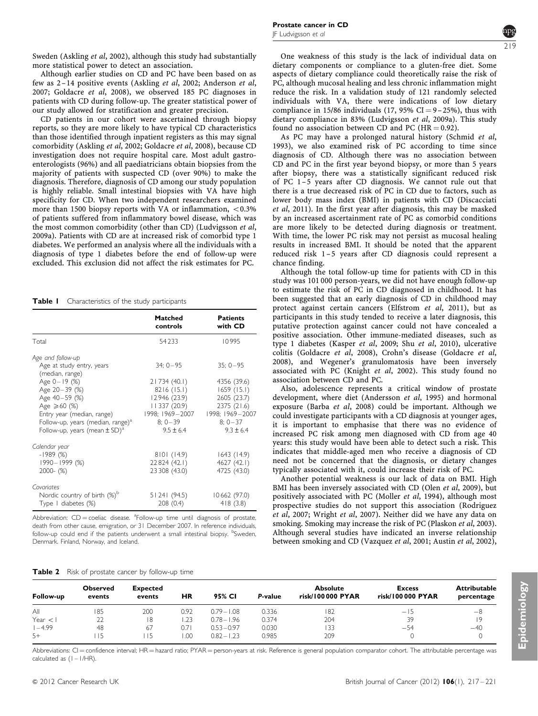<span id="page-3-0"></span>Sweden ([Askling](#page-4-0) et al, 2002), although this study had substantially more statistical power to detect an association.

Although earlier studies on CD and PC have been based on as few as 2 –14 positive events [\(Askling](#page-4-0) et al, 2002; [Anderson](#page-4-0) et al, [2007](#page-4-0); [Goldacre](#page-5-0) et al, 2008), we observed 185 PC diagnoses in patients with CD during follow-up. The greater statistical power of our study allowed for stratification and greater precision.

CD patients in our cohort were ascertained through biopsy reports, so they are more likely to have typical CD characteristics than those identified through inpatient registers as this may signal comorbidity [\(Askling](#page-4-0) et al, 2002; [Goldacre](#page-5-0) et al, 2008), because CD investigation does not require hospital care. Most adult gastroenterologists (96%) and all paediatricians obtain biopsies from the majority of patients with suspected CD (over 90%) to make the diagnosis. Therefore, diagnosis of CD among our study population is highly reliable. Small intestinal biopsies with VA have high specificity for CD. When two independent researchers examined more than 1500 biopsy reports with VA or inflammation,  $< 0.3\%$ of patients suffered from inflammatory bowel disease, which was the most common comorbidity (other than CD) ([Ludvigsson](#page-5-0) et al, [2009a](#page-5-0)). Patients with CD are at increased risk of comorbid type 1 diabetes. We performed an analysis where all the individuals with a diagnosis of type 1 diabetes before the end of follow-up were excluded. This exclusion did not affect the risk estimates for PC.

Table I Characteristics of the study participants

|                                                                                                                                                                                                         | Matched<br>controls                                                                                        | <b>Patients</b><br>with CD                                                                            |
|---------------------------------------------------------------------------------------------------------------------------------------------------------------------------------------------------------|------------------------------------------------------------------------------------------------------------|-------------------------------------------------------------------------------------------------------|
| Total                                                                                                                                                                                                   | 54233                                                                                                      | 10995                                                                                                 |
| Age and follow-up                                                                                                                                                                                       |                                                                                                            |                                                                                                       |
| Age at study entry, years<br>(median, range)                                                                                                                                                            | $34:0-95$                                                                                                  | $35: 0 - 95$                                                                                          |
| Age $0 - 19$ (%)<br>Age 20-39 (%)<br>Age 40-59 (%)<br>Age $\geq 60$ (%)<br>Entry year (median, range)<br>Follow-up, years (median, range) <sup>a</sup><br>Follow-up, years (mean $\pm$ SD) <sup>a</sup> | 21734 (40.1)<br>8216(15.1)<br>12946 (23.9)<br>11337 (20.9)<br>1998; 1969—2007<br>$8:0-39$<br>$9.5 \pm 6.4$ | 4356 (39.6)<br>1659(15.1)<br>2605 (23.7)<br>2375 (21.6)<br>1998; 1969-2007<br>$8:0-37$<br>$9.3 + 6.4$ |
| Calendar year<br>$-1989(%)$<br>$1990 - 1999$ (%)<br>$2000 - (%)$                                                                                                                                        | 8101 (14.9)<br>22824 (42.1)<br>23 308 (43.0)                                                               | 1643(14.9)<br>4627 (42.1)<br>4725 (43.0)                                                              |
| Covariates<br>Nordic country of birth $(\%)^{\circ}$<br>Type I diabetes (%)                                                                                                                             | 51241 (94.5)<br>208(0.4)                                                                                   | 10662(97.0)<br>418(3.8)                                                                               |

Abbreviation:  $CD =$  coeliac disease.  ${}^{a}$ Follow-up time until diagnosis of prostate, death from other cause, emigration, or 31 December 2007. In reference individuals, follow-up could end if the patients underwent a small intestinal biopsy. <sup>b</sup>Sweden, Denmark. Finland, Norway, and Iceland.

One weakness of this study is the lack of individual data on dietary components or compliance to a gluten-free diet. Some aspects of dietary compliance could theoretically raise the risk of PC, although mucosal healing and less chronic inflammation might reduce the risk. In a validation study of 121 randomly selected individuals with VA, there were indications of low dietary compliance in 15/86 individuals (17, 95% CI =  $9-25%$ ), thus with dietary compliance in 83% ([Ludvigsson](#page-5-0) et al, 2009a). This study found no association between CD and PC ( $HR = 0.92$ ).

As PC may have a prolonged natural history [\(Schmid](#page-5-0) et al, [1993](#page-5-0)), we also examined risk of PC according to time since diagnosis of CD. Although there was no association between CD and PC in the first year beyond biopsy, or more than 5 years after biopsy, there was a statistically significant reduced risk of PC 1 –5 years after CD diagnosis. We cannot rule out that there is a true decreased risk of PC in CD due to factors, such as lower body mass index (BMI) in patients with CD ([Discacciati](#page-4-0) et al[, 2011](#page-4-0)). In the first year after diagnosis, this may be masked by an increased ascertainment rate of PC as comorbid conditions are more likely to be detected during diagnosis or treatment. With time, the lower PC risk may not persist as mucosal healing results in increased BMI. It should be noted that the apparent reduced risk 1 –5 years after CD diagnosis could represent a chance finding.

Although the total follow-up time for patients with CD in this study was 101 000 person-years, we did not have enough follow-up to estimate the risk of PC in CD diagnosed in childhood. It has been suggested that an early diagnosis of CD in childhood may protect against certain cancers ([Elfstrom](#page-5-0) et al, 2011), but as participants in this study tended to receive a later diagnosis, this putative protection against cancer could not have concealed a positive association. Other immune-mediated diseases, such as type 1 diabetes ([Kasper](#page-5-0) et al, 2009; Shu et al[, 2010](#page-5-0)), ulcerative colitis [\(Goldacre](#page-5-0) et al, 2008), Crohn's disease [\(Goldacre](#page-5-0) et al, [2008](#page-5-0)), and Wegener's granulomatosis have been inversely associated with PC [\(Knight](#page-5-0) et al, 2002). This study found no association between CD and PC.

Also, adolescence represents a critical window of prostate development, where diet [\(Andersson](#page-4-0) et al, 1995) and hormonal exposure (Barba et al[, 2008](#page-4-0)) could be important. Although we could investigate participants with a CD diagnosis at younger ages, it is important to emphasise that there was no evidence of increased PC risk among men diagnosed with CD from age 40 years: this study would have been able to detect such a risk. This indicates that middle-aged men who receive a diagnosis of CD need not be concerned that the diagnosis, or dietary changes typically associated with it, could increase their risk of PC.

Another potential weakness is our lack of data on BMI. High BMI has been inversely associated with CD (Olen et al[, 2009](#page-5-0)), but positively associated with PC [\(Moller](#page-5-0) et al, 1994), although most prospective studies do not support this association ([Rodriguez](#page-5-0) et al[, 2007](#page-5-0); [Wright](#page-5-0) et al, 2007). Neither did we have any data on smoking. Smoking may increase the risk of PC ([Plaskon](#page-5-0) et al, 2003). Although several studies have indicated an inverse relationship between smoking and CD ([Vazquez](#page-5-0) et al, 2001; [Austin](#page-4-0) et al, 2002),

| Table 2 Risk of prostate cancer by follow-up time |  |
|---------------------------------------------------|--|
|---------------------------------------------------|--|

| Follow-up | Observed<br>events | <b>Expected</b><br>events | ΗR   | 95% CI        | P-value | <b>Absolute</b><br>risk/100 000 PYAR | <b>Excess</b><br>risk/100 000 PYAR | <b>Attributable</b><br>percentage |
|-----------|--------------------|---------------------------|------|---------------|---------|--------------------------------------|------------------------------------|-----------------------------------|
| All       | 185                | 200                       | 0.92 | $0.79 - 1.08$ | 0.336   | 182                                  | $-15$                              | -8                                |
| Year < 1  | 22                 | 18                        | .23  | $0.78 - 1.96$ | 0.374   | 204                                  | 39                                 | 19                                |
| $-4.99$   | 48                 | 67                        | 0.71 | $0.53 - 0.97$ | 0.030   | 33                                   | $-54$                              | $-40$                             |
| $5+$      | -15                | 15                        | .00  | $0.82 - 1.23$ | 0.985   | 209                                  |                                    |                                   |

Abbreviations: CI = confidence interval; HR = hazard ratio; PYAR = person-years at risk. Reference is general population comparator cohort. The attributable percentage was calculated as  $(1 - 1/HR)$ .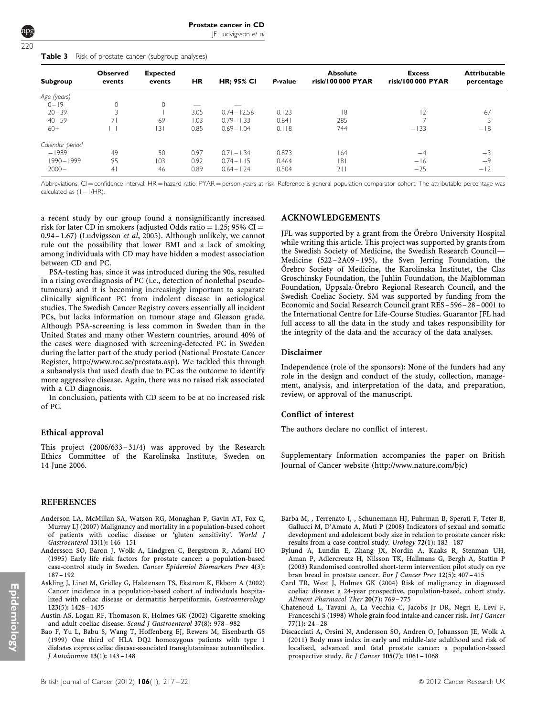| Prostate cancer in CD |                     |  |  |
|-----------------------|---------------------|--|--|
|                       | $IF$ Ludvigcon et a |  |  |

JF Ludvigsson et al

<span id="page-4-0"></span>

| Table 3 |  |  |  | Risk of prostate cancer (subgroup analyses) |  |
|---------|--|--|--|---------------------------------------------|--|
|---------|--|--|--|---------------------------------------------|--|

| Subgroup        | <b>Observed</b><br>events | <b>Expected</b><br>events | HR   | <b>HR: 95% CI</b> | P-value | <b>Absolute</b><br>risk/100 000 PYAR | <b>Excess</b><br>risk/100 000 PYAR | <b>Attributable</b><br>percentage |
|-----------------|---------------------------|---------------------------|------|-------------------|---------|--------------------------------------|------------------------------------|-----------------------------------|
| Age (years)     |                           |                           |      |                   |         |                                      |                                    |                                   |
| $0 - 19$        | $\mathbf{0}$              | $\Omega$                  | --   |                   |         |                                      |                                    |                                   |
| $20 - 39$       | 3                         |                           | 3.05 | $0.74 - 12.56$    | 0.123   | 8                                    | 12                                 | 67                                |
| $40 - 59$       |                           | 69                        | I.O3 | $0.79 - 1.33$     | 0.841   | 285                                  |                                    |                                   |
| $60+$           | $\Box$                    | 131                       | 0.85 | $0.69 - 1.04$     | 0.118   | 744                                  | $-133$                             | $-18$                             |
| Calendar period |                           |                           |      |                   |         |                                      |                                    |                                   |
| $-1989$         | 49                        | 50                        | 0.97 | $0.71 - 1.34$     | 0.873   | 164                                  | $-4$                               | $-3$                              |
| 1990-1999       | 95                        | 103                       | 0.92 | $0.74 - 1.15$     | 0.464   | 8                                    | $-16$                              | $-9$                              |
| $2000 -$        | 4 <sup>1</sup>            | 46                        | 0.89 | $0.64 - 1.24$     | 0.504   | 211                                  | $-25$                              | $-12$                             |

Abbreviations: CI = confidence interval; HR = hazard ratio; PYAR = person-years at risk. Reference is general population comparator cohort. The attributable percentage was calculated as (1 – 1/HR).

a recent study by our group found a nonsignificantly increased risk for later CD in smokers (adjusted Odds ratio = 1.25; 95% CI = 0.94 – 1.67) [\(Ludvigsson](#page-5-0) *et al*, 2005). Although unlikely, we cannot rule out the possibility that lower BMI and a lack of smoking among individuals with CD may have hidden a modest association between CD and PC.

PSA-testing has, since it was introduced during the 90s, resulted in a rising overdiagnosis of PC (i.e., detection of nonlethal pseudotumours) and it is becoming increasingly important to separate clinically significant PC from indolent disease in aetiological studies. The Swedish Cancer Registry covers essentially all incident PCs, but lacks information on tumour stage and Gleason grade. Although PSA-screening is less common in Sweden than in the United States and many other Western countries, around 40% of the cases were diagnosed with screening-detected PC in Sweden during the latter part of the study period (National Prostate Cancer Register, [http://www.roc.se/prostata.asp\)](http://www.roc.se/prostata.asp). We tackled this through a subanalysis that used death due to PC as the outcome to identify more aggressive disease. Again, there was no raised risk associated with a CD diagnosis.

In conclusion, patients with CD seem to be at no increased risk of PC.

#### Ethical approval

This project (2006/633 –31/4) was approved by the Research Ethics Committee of the Karolinska Institute, Sweden on 14 June 2006.

#### REFERENCES

- Anderson LA, McMillan SA, Watson RG, Monaghan P, Gavin AT, Fox C, Murray LJ (2007) Malignancy and mortality in a population-based cohort of patients with coeliac disease or 'gluten sensitivity'. World J Gastroenterol 13(1): 146 – 151
- Andersson SO, Baron J, Wolk A, Lindgren C, Bergstrom R, Adami HO (1995) Early life risk factors for prostate cancer: a population-based case-control study in Sweden. Cancer Epidemiol Biomarkers Prev 4(3): 187 – 192
- Askling J, Linet M, Gridley G, Halstensen TS, Ekstrom K, Ekbom A (2002) Cancer incidence in a population-based cohort of individuals hospitalized with celiac disease or dermatitis herpetiformis. Gastroenterology 123(5): 1428 – 1435
- Austin AS, Logan RF, Thomason K, Holmes GK (2002) Cigarette smoking and adult coeliac disease. Scand J Gastroenterol 37(8): 978 – 982
- Bao F, Yu L, Babu S, Wang T, Hoffenberg EJ, Rewers M, Eisenbarth GS (1999) One third of HLA DQ2 homozygous patients with type 1 diabetes express celiac disease-associated transglutaminase autoantibodies. J Autoimmun 13(1): 143 – 148

#### ACKNOWLEDGEMENTS

JFL was supported by a grant from the Örebro University Hospital while writing this article. This project was supported by grants from the Swedish Society of Medicine, the Swedish Research Council— Medicine (522 –2A09 –195), the Sven Jerring Foundation, the Örebro Society of Medicine, the Karolinska Institutet, the Clas Groschinsky Foundation, the Juhlin Foundation, the Majblomman Foundation, Uppsala-Örebro Regional Research Council, and the Swedish Coeliac Society. SM was supported by funding from the Economic and Social Research Council grant RES–596–28 –0001 to the International Centre for Life-Course Studies. Guarantor JFL had full access to all the data in the study and takes responsibility for the integrity of the data and the accuracy of the data analyses.

#### Disclaimer

Independence (role of the sponsors): None of the funders had any role in the design and conduct of the study, collection, management, analysis, and interpretation of the data, and preparation, review, or approval of the manuscript.

#### Conflict of interest

The authors declare no conflict of interest.

Supplementary Information accompanies the paper on British Journal of Cancer website ([http://www.nature.com/bjc\)](http://www.nature.com/bjc)

- Barba M, , Terrenato I, , Schunemann HJ, Fuhrman B, Sperati F, Teter B, Gallucci M, D'Amato A, Muti P (2008) Indicators of sexual and somatic development and adolescent body size in relation to prostate cancer risk: results from a case-control study. Urology 72(1): 183 – 187
- Bylund A, Lundin E, Zhang JX, Nordin A, Kaaks R, Stenman UH, Aman P, Adlercreutz H, Nilsson TK, Hallmans G, Bergh A, Stattin P (2003) Randomised controlled short-term intervention pilot study on rye bran bread in prostate cancer. Eur J Cancer Prev 12(5): 407 – 415
- Card TR, West J, Holmes GK (2004) Risk of malignancy in diagnosed coeliac disease: a 24-year prospective, population-based, cohort study. Aliment Pharmacol Ther 20(7): 769 – 775
- Chatenoud L, Tavani A, La Vecchia C, Jacobs Jr DR, Negri E, Levi F, Franceschi S (1998) Whole grain food intake and cancer risk. Int J Cancer 77(1): 24 – 28
- Discacciati A, Orsini N, Andersson SO, Andren O, Johansson JE, Wolk A (2011) Body mass index in early and middle-late adulthood and risk of localised, advanced and fatal prostate cancer: a population-based prospective study. Br J Cancer 105(7): 1061 – 1068